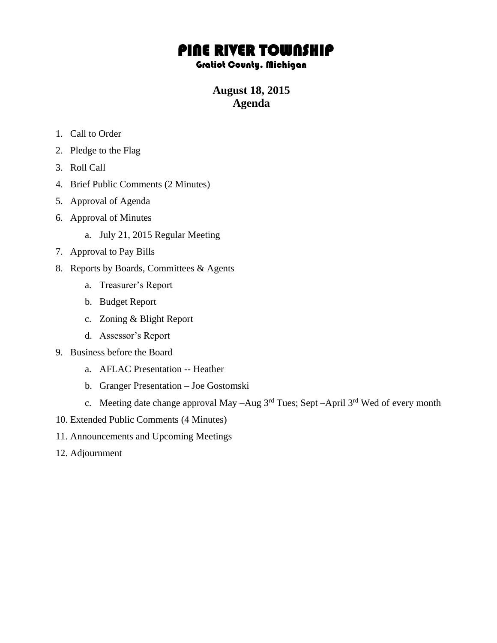## PINE RIVER TOWNSHIP

## Gratiot County, Michigan

**August 18, 2015 Agenda**

- 1. Call to Order
- 2. Pledge to the Flag
- 3. Roll Call
- 4. Brief Public Comments (2 Minutes)
- 5. Approval of Agenda
- 6. Approval of Minutes
	- a. July 21, 2015 Regular Meeting
- 7. Approval to Pay Bills
- 8. Reports by Boards, Committees & Agents
	- a. Treasurer's Report
	- b. Budget Report
	- c. Zoning & Blight Report
	- d. Assessor's Report
- 9. Business before the Board
	- a. AFLAC Presentation -- Heather
	- b. Granger Presentation Joe Gostomski
	- c. Meeting date change approval May  $-Aug$  3<sup>rd</sup> Tues; Sept  $-April$  3<sup>rd</sup> Wed of every month
- 10. Extended Public Comments (4 Minutes)
- 11. Announcements and Upcoming Meetings
- 12. Adjournment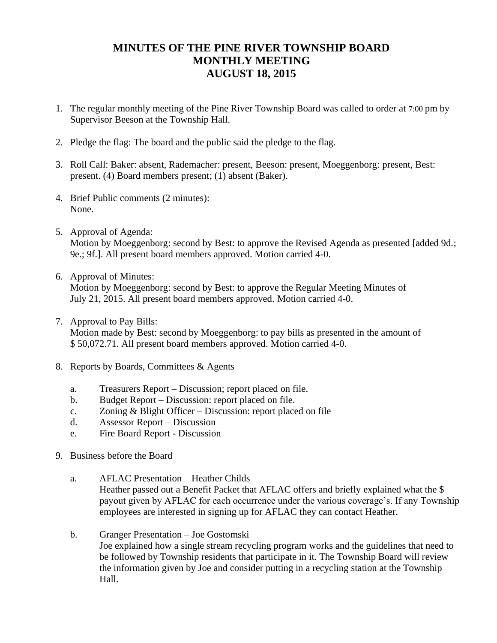## **MINUTES OF THE PINE RIVER TOWNSHIP BOARD MONTHLY MEETING AUGUST 18, 2015**

- 1. The regular monthly meeting of the Pine River Township Board was called to order at 7:00 pm by Supervisor Beeson at the Township Hall.
- 2. Pledge the flag: The board and the public said the pledge to the flag.
- 3. Roll Call: Baker: absent, Rademacher: present, Beeson: present, Moeggenborg: present, Best: present. (4) Board members present; (1) absent (Baker).
- 4. Brief Public comments (2 minutes): None.
- 5. Approval of Agenda: Motion by Moeggenborg: second by Best: to approve the Revised Agenda as presented [added 9d.; 9e.; 9f.]. All present board members approved. Motion carried 4-0.
- 6. Approval of Minutes:

Motion by Moeggenborg: second by Best: to approve the Regular Meeting Minutes of July 21, 2015. All present board members approved. Motion carried 4-0.

- 7. Approval to Pay Bills: Motion made by Best: second by Moeggenborg: to pay bills as presented in the amount of \$ 50,072.71. All present board members approved. Motion carried 4-0.
- 8. Reports by Boards, Committees & Agents
	- a. Treasurers Report Discussion; report placed on file.
	- b. Budget Report Discussion: report placed on file.
	- c. Zoning & Blight Officer Discussion: report placed on file
	- d. Assessor Report Discussion
	- e. Fire Board Report Discussion
- 9. Business before the Board
	- a. AFLAC Presentation Heather Childs Heather passed out a Benefit Packet that AFLAC offers and briefly explained what the \$ payout given by AFLAC for each occurrence under the various coverage's. If any Township employees are interested in signing up for AFLAC they can contact Heather.
	- b. Granger Presentation Joe Gostomski Joe explained how a single stream recycling program works and the guidelines that need to be followed by Township residents that participate in it. The Township Board will review the information given by Joe and consider putting in a recycling station at the Township Hall.